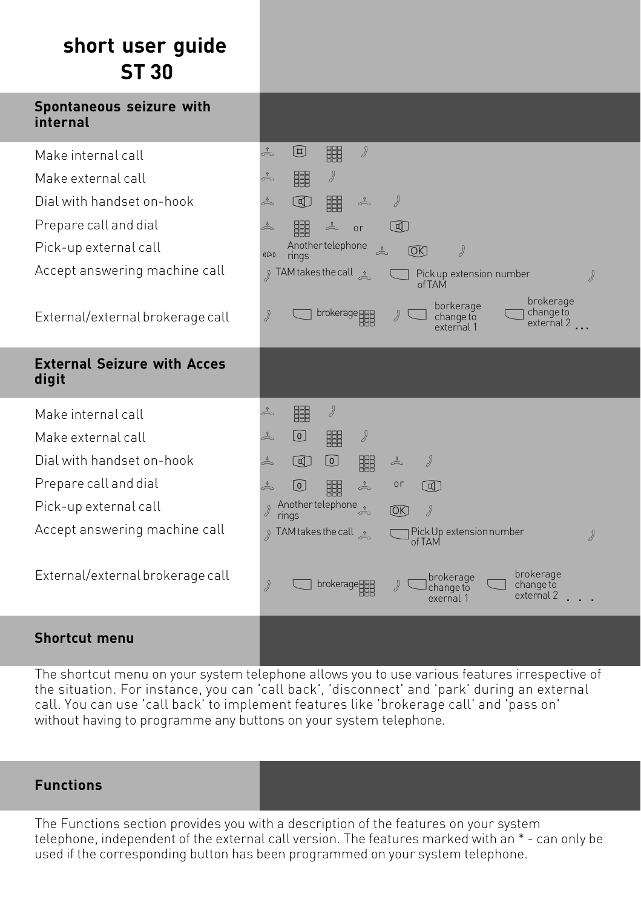### **short user guide ST 30**

| Spontaneous seizure with<br>internal        |                                                                                                                   |
|---------------------------------------------|-------------------------------------------------------------------------------------------------------------------|
| Make internal call                          | $\int$<br>å<br>$\begin{bmatrix} \Xi \end{bmatrix}$<br>睸                                                           |
| Make external call                          | d<br>鼺<br>å                                                                                                       |
| Dial with handset on-hook                   | å<br>$\circledR$<br>睸<br>d<br>å                                                                                   |
| Prepare call and dial                       | å<br>睸<br>$\frac{1}{\sqrt{2}}$<br>$\lbrack \mathbb{q} \rbrack$<br>or                                              |
| Pick-up external call                       | Another telephone<br>$\int$<br>$\stackrel{\circ}{\rightleftharpoons}$<br>[OK]<br>$((\bigcirc$<br>rings            |
| Accept answering machine call               | ু TAM takes the call<br>Pick up extension number<br>Ÿ<br>of TAM                                                   |
| External/external brokerage call            | brokerage<br>borkerage<br>change to<br>brokerage 888<br>》<br>$\partial$<br>change to<br>external 2.<br>external 1 |
| <b>External Seizure with Acces</b><br>digit |                                                                                                                   |
| Make internal call                          | 鼺<br>Ÿ<br>å                                                                                                       |
| Make external call                          | $\int$<br>÷<br>$\lbrack 0 \rbrack$<br>睸                                                                           |
| Dial with handset on-hook                   | å<br>$\circledcirc$<br>⊙<br>$\partial$<br>睸<br>å                                                                  |
| Prepare call and dial                       | å<br>◙<br>鼺<br>$\frac{1}{\sqrt{2}}$<br>or<br>$\Box$                                                               |
| Pick-up external call                       | Another telephone<br>d<br>[OK]<br>rings                                                                           |
| Accept answering machine call               | ர TAM takes the call •<br>Pick Up extension number<br>$\partial$<br>of TAM                                        |
| External/external brokerage call            | brokerage<br>brokerage<br>J<br>brokerage888<br>$\partial$<br>change to<br>change to<br>external 2<br>exernal 1    |
| <b>Shortcut menu</b>                        |                                                                                                                   |

The shortcut menu on your system telephone allows you to use various features irrespective of the situation. For instance, you can 'call back', 'disconnect' and 'park' during an external call. You can use 'call back' to implement features like 'brokerage call' and 'pass on' without having to programme any buttons on your system telephone.

#### **Functions**

The Functions section provides you with a description of the features on your system telephone, independent of the external call version. The features marked with an \* - can only be used if the corresponding button has been programmed on your system telephone.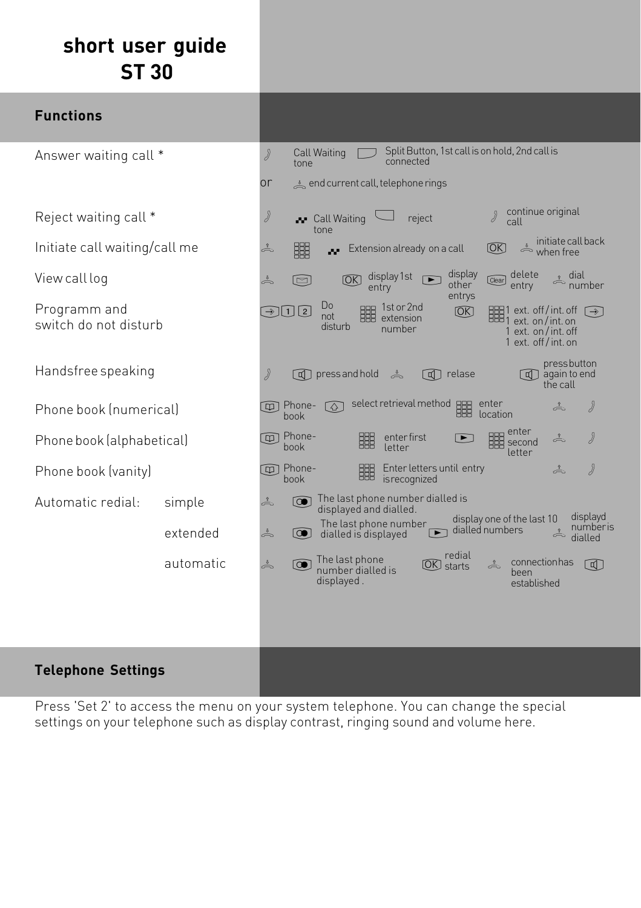# **short user guide ST 30**

| <b>Functions</b>                      |           |                                                                                                                 |                                                |                                     |                                                   |                  |                            |                   |                                                                                                     |                                                               |                                                      |
|---------------------------------------|-----------|-----------------------------------------------------------------------------------------------------------------|------------------------------------------------|-------------------------------------|---------------------------------------------------|------------------|----------------------------|-------------------|-----------------------------------------------------------------------------------------------------|---------------------------------------------------------------|------------------------------------------------------|
| Answer waiting call *                 |           | Split Button, 1st call is on hold, 2nd call is<br>$\overline{\mathcal{Y}}$<br>Call Waiting<br>connected<br>tone |                                                |                                     |                                                   |                  |                            |                   |                                                                                                     |                                                               |                                                      |
|                                       |           | or                                                                                                              | $\triangleq$ end current call, telephone rings |                                     |                                                   |                  |                            |                   |                                                                                                     |                                                               |                                                      |
| Reject waiting call *                 |           | $\partial$                                                                                                      | Call Waiting<br>tone                           |                                     | reject                                            |                  |                            |                   | continue original<br>call                                                                           |                                                               |                                                      |
| Initiate call waiting/call me         |           | å                                                                                                               | 鼺<br>e.                                        |                                     | Extension already on a call                       |                  |                            | ſОK)              |                                                                                                     |                                                               | initiate call back<br>when free                      |
| View call log                         |           | å                                                                                                               | ⊡                                              | [OK]<br>entry                       | display 1st                                       | $\blacksquare$   | display<br>other<br>entrys | [Clear]           | delete<br>entry                                                                                     |                                                               | $\stackrel{\circ}{\Rightarrow}$ dial<br>number       |
| Programm and<br>switch do not disturb |           | $\circledืlu[2]$                                                                                                | <b>Do</b><br>not<br>disturb                    |                                     | 888 1st or 2nd<br>888 extension<br>number         |                  | [OK]                       |                   | $\frac{1}{1000}$ ext. off/int. off $\odot$<br>$\odot$<br>1 ext. on / int. off<br>1 ext. off/int. on |                                                               |                                                      |
| Handsfree speaking                    |           | ď                                                                                                               | <b>q</b> press and hold                        |                                     | $\overset{3}{\rightleftharpoons}$                 | <b>可</b> relase  |                            |                   |                                                                                                     | press button<br>$\boxed{\mathbb{q}}$ again to end<br>the call |                                                      |
| Phone book (numerical)                |           | $\omega$<br>book                                                                                                | Phone-<br>$\sqrt{2}$                           |                                     | select retrieval method<br>BBB                    |                  |                            | enter<br>location |                                                                                                     |                                                               |                                                      |
| Phone book (alphabetical)             |           | ত্রা<br>book                                                                                                    | Phone-                                         | 睸                                   | enter first<br>letter                             |                  | $\overline{\phantom{1}}$   |                   | enter<br>enter<br>BBB second<br>letter                                                              |                                                               | ď                                                    |
| Phone book (vanity)                   |           | <b>中</b> Phone-<br>book                                                                                         |                                                | 睸                                   | Enter letters until entry<br><i>is recognized</i> |                  |                            |                   |                                                                                                     | å                                                             | 》                                                    |
| Automatic redial:                     | simple    | å                                                                                                               | The last phone number dialled is               | displayed and dialled.              | The last phone number                             |                  |                            |                   | display one of the last 10                                                                          |                                                               | displayd                                             |
|                                       | extended  | å                                                                                                               | $\omega$                                       | dialled is displayed                |                                                   | $\blacksquare$   | dialled numbers            |                   |                                                                                                     |                                                               | numberis<br>$\stackrel{\bullet}{\leftarrow}$ dialled |
|                                       | automatic | å                                                                                                               | $\widehat{\mathbf{C}}$<br>displayed.           | The last phone<br>number dialled is |                                                   | <b>OK</b> starts | redial                     | å                 | connection has<br>been<br>established                                                               |                                                               | $\lbrack \overline{\mathbb{q}} \rbrack$              |
|                                       |           |                                                                                                                 |                                                |                                     |                                                   |                  |                            |                   |                                                                                                     |                                                               |                                                      |
| <b>Telephone Settings</b>             |           |                                                                                                                 |                                                |                                     |                                                   |                  |                            |                   |                                                                                                     |                                                               |                                                      |

Press 'Set 2' to access the menu on your system telephone. You can change the special settings on your telephone such as display contrast, ringing sound and volume here.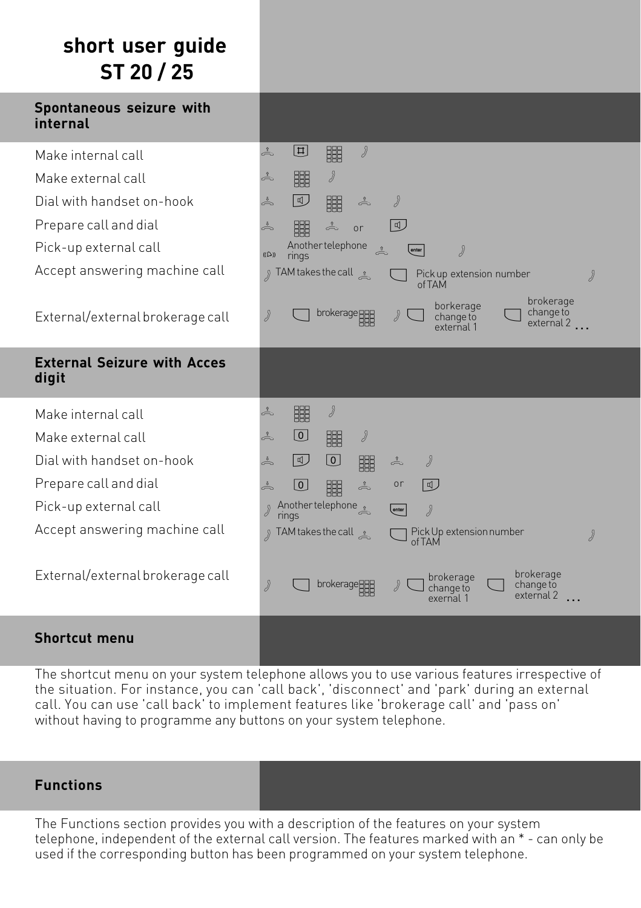## **short user guide ST 20 / 25**

| Spontaneous seizure with<br>internal                                                                                                                                                         |                                                                                                                                                                                                                                                                                                                                                   |
|----------------------------------------------------------------------------------------------------------------------------------------------------------------------------------------------|---------------------------------------------------------------------------------------------------------------------------------------------------------------------------------------------------------------------------------------------------------------------------------------------------------------------------------------------------|
| Make internal call<br>Make external call<br>Dial with handset on-hook<br>Prepare call and dial<br>Pick-up external call<br>Accept answering machine call<br>External/external brokerage call | 回<br>å<br>Ÿ<br>鼺<br>d<br>鼺<br>å<br>10<br>ď<br>å<br>睸<br>÷<br>鼺<br>å<br> ଏ<br>å<br>or<br>Another telephone<br>▲<br>J<br>enter<br>$((\bigcirc$<br>rings<br>$\int$ TAM takes the call $\frac{1}{\sqrt{2}}$<br>Pick up extension number<br>ď<br>ofTAM<br>brokerage<br>borkerage<br>change to<br>brokerage <b>HHB</b><br>ď<br>change to<br>external 2. |
| <b>External Seizure with Acces</b><br>digit<br>Make internal call                                                                                                                            | external 1<br>å<br>鼺<br>Ÿ                                                                                                                                                                                                                                                                                                                         |
| Make external call<br>Dial with handset on-hook<br>Prepare call and dial<br>Pick-up external call                                                                                            | $\boxed{0}$<br>å<br>睸<br>d<br>回<br>$\lbrack 0 \rbrack$<br>å<br>$\partial$<br>睸<br>å<br>$\stackrel{\scriptstyle\theta}{\Longleftrightarrow}$<br>⊍<br>睸<br>å<br>or<br>Another telephone<br>》<br>enter<br>rings                                                                                                                                      |
| Accept answering machine call<br>External/external brokerage call                                                                                                                            | مشى TAM takes the call<br>Pick Up extension number<br>ď<br>of TAM<br>brokerage<br>brokerage<br>ď<br>brokerage 222<br>change to<br>change to<br>external 2<br>exernal                                                                                                                                                                              |
| <b>Shortcut menu</b>                                                                                                                                                                         |                                                                                                                                                                                                                                                                                                                                                   |

The shortcut menu on your system telephone allows you to use various features irrespective of the situation. For instance, you can 'call back', 'disconnect' and 'park' during an external call. You can use 'call back' to implement features like 'brokerage call' and 'pass on' without having to programme any buttons on your system telephone.

#### **Functions**

The Functions section provides you with a description of the features on your system telephone, independent of the external call version. The features marked with an \* - can only be used if the corresponding button has been programmed on your system telephone.